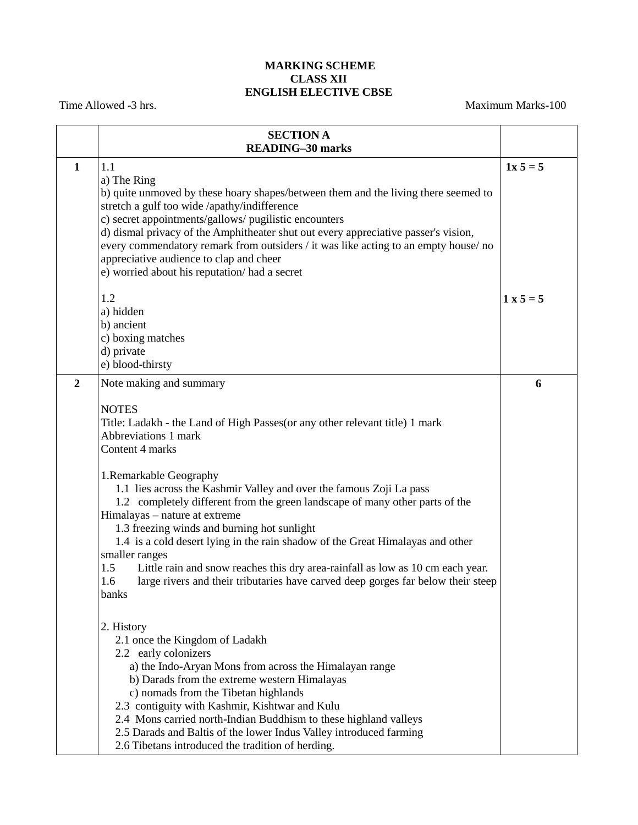## **MARKING SCHEME CLASS XII ENGLISH ELECTIVE CBSE**

Time Allowed -3 hrs. Maximum Marks-100

|                  | <b>SECTION A</b><br><b>READING-30 marks</b>                                                                                                                                                                                                                                                                                                                                                                                                                                                                                                                                                                                                                          |             |
|------------------|----------------------------------------------------------------------------------------------------------------------------------------------------------------------------------------------------------------------------------------------------------------------------------------------------------------------------------------------------------------------------------------------------------------------------------------------------------------------------------------------------------------------------------------------------------------------------------------------------------------------------------------------------------------------|-------------|
| $\mathbf{1}$     | 1.1<br>a) The Ring<br>b) quite unmoved by these hoary shapes/between them and the living there seemed to<br>stretch a gulf too wide /apathy/indifference<br>c) secret appointments/gallows/ pugilistic encounters<br>d) dismal privacy of the Amphitheater shut out every appreciative passer's vision,<br>every commendatory remark from outsiders / it was like acting to an empty house/no<br>appreciative audience to clap and cheer<br>e) worried about his reputation/ had a secret                                                                                                                                                                            | $1x 5 = 5$  |
|                  | 1.2<br>a) hidden<br>b) ancient<br>c) boxing matches<br>d) private<br>e) blood-thirsty                                                                                                                                                                                                                                                                                                                                                                                                                                                                                                                                                                                | $1 x 5 = 5$ |
| $\boldsymbol{2}$ | Note making and summary<br><b>NOTES</b><br>Title: Ladakh - the Land of High Passes (or any other relevant title) 1 mark<br>Abbreviations 1 mark<br>Content 4 marks<br>1. Remarkable Geography<br>1.1 lies across the Kashmir Valley and over the famous Zoji La pass<br>1.2 completely different from the green landscape of many other parts of the<br>Himalayas - nature at extreme<br>1.3 freezing winds and burning hot sunlight<br>1.4 is a cold desert lying in the rain shadow of the Great Himalayas and other<br>smaller ranges                                                                                                                             | 6           |
|                  | Little rain and snow reaches this dry area-rainfall as low as 10 cm each year.<br>1.5<br>large rivers and their tributaries have carved deep gorges far below their steep<br>1.6<br>banks<br>2. History<br>2.1 once the Kingdom of Ladakh<br>2.2 early colonizers<br>a) the Indo-Aryan Mons from across the Himalayan range<br>b) Darads from the extreme western Himalayas<br>c) nomads from the Tibetan highlands<br>2.3 contiguity with Kashmir, Kishtwar and Kulu<br>2.4 Mons carried north-Indian Buddhism to these highland valleys<br>2.5 Darads and Baltis of the lower Indus Valley introduced farming<br>2.6 Tibetans introduced the tradition of herding. |             |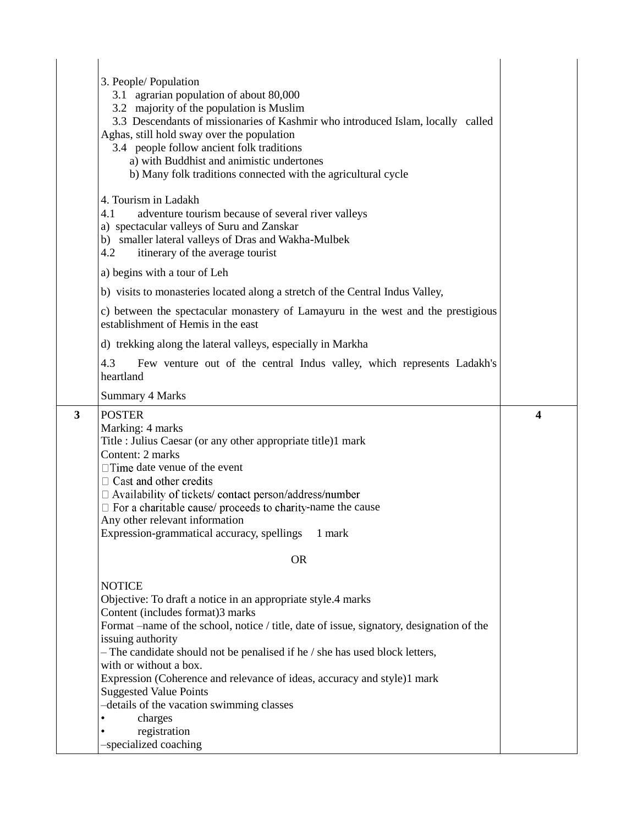|   | 3. People/ Population<br>3.1 agrarian population of about 80,000<br>3.2 majority of the population is Muslim<br>3.3 Descendants of missionaries of Kashmir who introduced Islam, locally called<br>Aghas, still hold sway over the population<br>3.4 people follow ancient folk traditions<br>a) with Buddhist and animistic undertones<br>b) Many folk traditions connected with the agricultural cycle                                                                                                                        |   |
|---|---------------------------------------------------------------------------------------------------------------------------------------------------------------------------------------------------------------------------------------------------------------------------------------------------------------------------------------------------------------------------------------------------------------------------------------------------------------------------------------------------------------------------------|---|
|   | 4. Tourism in Ladakh<br>4.1<br>adventure tourism because of several river valleys<br>a) spectacular valleys of Suru and Zanskar<br>b) smaller lateral valleys of Dras and Wakha-Mulbek<br>4.2<br>itinerary of the average tourist                                                                                                                                                                                                                                                                                               |   |
|   | a) begins with a tour of Leh                                                                                                                                                                                                                                                                                                                                                                                                                                                                                                    |   |
|   | b) visits to monasteries located along a stretch of the Central Indus Valley,                                                                                                                                                                                                                                                                                                                                                                                                                                                   |   |
|   | c) between the spectacular monastery of Lamayuru in the west and the prestigious<br>establishment of Hemis in the east                                                                                                                                                                                                                                                                                                                                                                                                          |   |
|   | d) trekking along the lateral valleys, especially in Markha                                                                                                                                                                                                                                                                                                                                                                                                                                                                     |   |
|   | 4.3<br>Few venture out of the central Indus valley, which represents Ladakh's<br>heartland                                                                                                                                                                                                                                                                                                                                                                                                                                      |   |
|   | Summary 4 Marks                                                                                                                                                                                                                                                                                                                                                                                                                                                                                                                 |   |
| 3 | <b>POSTER</b><br>Marking: 4 marks<br>Title : Julius Caesar (or any other appropriate title)1 mark                                                                                                                                                                                                                                                                                                                                                                                                                               | 4 |
|   | Content: 2 marks<br>$\Box$ Time date venue of the event<br>$\Box$ Cast and other credits<br>$\Box$ Availability of tickets/ contact person/address/number<br>$\Box$ For a charitable cause/ proceeds to charity-name the cause<br>Any other relevant information<br>Expression-grammatical accuracy, spellings<br>1 mark                                                                                                                                                                                                        |   |
|   | <b>OR</b>                                                                                                                                                                                                                                                                                                                                                                                                                                                                                                                       |   |
|   | <b>NOTICE</b><br>Objective: To draft a notice in an appropriate style.4 marks<br>Content (includes format)3 marks<br>Format -name of the school, notice / title, date of issue, signatory, designation of the<br>issuing authority<br>- The candidate should not be penalised if he / she has used block letters,<br>with or without a box.<br>Expression (Coherence and relevance of ideas, accuracy and style)1 mark<br><b>Suggested Value Points</b><br>-details of the vacation swimming classes<br>charges<br>registration |   |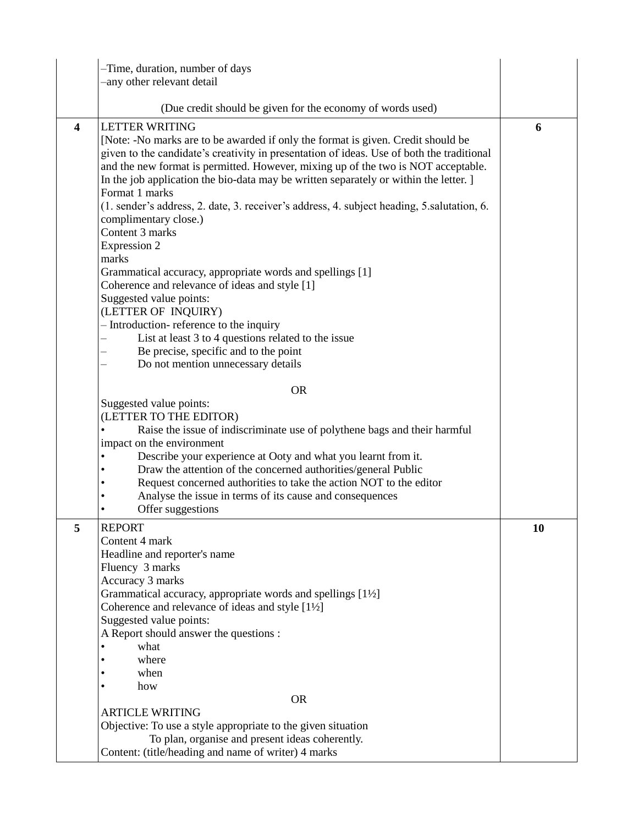|                         | -Time, duration, number of days<br>-any other relevant detail                                                                                                                                                                                                                                                                                                                                                                                                                                                                                                                                                                                                                                                                                                                                                                                                                                                                       |    |
|-------------------------|-------------------------------------------------------------------------------------------------------------------------------------------------------------------------------------------------------------------------------------------------------------------------------------------------------------------------------------------------------------------------------------------------------------------------------------------------------------------------------------------------------------------------------------------------------------------------------------------------------------------------------------------------------------------------------------------------------------------------------------------------------------------------------------------------------------------------------------------------------------------------------------------------------------------------------------|----|
|                         | (Due credit should be given for the economy of words used)                                                                                                                                                                                                                                                                                                                                                                                                                                                                                                                                                                                                                                                                                                                                                                                                                                                                          |    |
| $\overline{\mathbf{4}}$ | <b>LETTER WRITING</b><br>[Note: -No marks are to be awarded if only the format is given. Credit should be<br>given to the candidate's creativity in presentation of ideas. Use of both the traditional<br>and the new format is permitted. However, mixing up of the two is NOT acceptable.<br>In the job application the bio-data may be written separately or within the letter. ]<br>Format 1 marks<br>(1. sender's address, 2. date, 3. receiver's address, 4. subject heading, 5. salutation, 6.<br>complimentary close.)<br>Content 3 marks<br><b>Expression 2</b><br>marks<br>Grammatical accuracy, appropriate words and spellings [1]<br>Coherence and relevance of ideas and style [1]<br>Suggested value points:<br>(LETTER OF INQUIRY)<br>- Introduction-reference to the inquiry<br>List at least 3 to 4 questions related to the issue<br>Be precise, specific and to the point<br>Do not mention unnecessary details | 6  |
|                         | <b>OR</b><br>Suggested value points:<br>(LETTER TO THE EDITOR)<br>Raise the issue of indiscriminate use of polythene bags and their harmful<br>impact on the environment<br>Describe your experience at Ooty and what you learnt from it.<br>Draw the attention of the concerned authorities/general Public<br>Request concerned authorities to take the action NOT to the editor<br>٠<br>Analyse the issue in terms of its cause and consequences<br>Offer suggestions                                                                                                                                                                                                                                                                                                                                                                                                                                                             |    |
| 5                       | <b>REPORT</b><br>Content 4 mark<br>Headline and reporter's name<br>Fluency 3 marks<br>Accuracy 3 marks<br>Grammatical accuracy, appropriate words and spellings [1½]<br>Coherence and relevance of ideas and style [1½]<br>Suggested value points:<br>A Report should answer the questions :<br>what<br>where<br>when<br>how<br><b>OR</b>                                                                                                                                                                                                                                                                                                                                                                                                                                                                                                                                                                                           | 10 |
|                         | <b>ARTICLE WRITING</b><br>Objective: To use a style appropriate to the given situation<br>To plan, organise and present ideas coherently.<br>Content: (title/heading and name of writer) 4 marks                                                                                                                                                                                                                                                                                                                                                                                                                                                                                                                                                                                                                                                                                                                                    |    |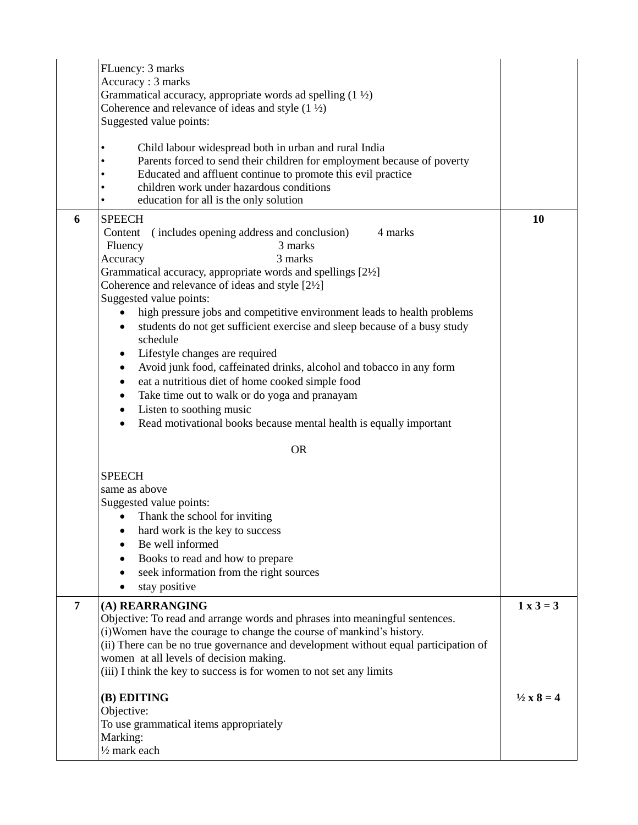|                | FLuency: 3 marks<br>Accuracy: 3 marks<br>Grammatical accuracy, appropriate words ad spelling $(1 \frac{1}{2})$<br>Coherence and relevance of ideas and style $(1 \frac{1}{2})$<br>Suggested value points:                                                                                                                                                                                                                                                                                                                                                                                                                                                                                                                                                                                                                                                              |                            |
|----------------|------------------------------------------------------------------------------------------------------------------------------------------------------------------------------------------------------------------------------------------------------------------------------------------------------------------------------------------------------------------------------------------------------------------------------------------------------------------------------------------------------------------------------------------------------------------------------------------------------------------------------------------------------------------------------------------------------------------------------------------------------------------------------------------------------------------------------------------------------------------------|----------------------------|
|                | Child labour widespread both in urban and rural India<br>$\bullet$<br>Parents forced to send their children for employment because of poverty<br>Educated and affluent continue to promote this evil practice<br>children work under hazardous conditions<br>education for all is the only solution                                                                                                                                                                                                                                                                                                                                                                                                                                                                                                                                                                    |                            |
| 6              | <b>SPEECH</b><br>4 marks<br>(includes opening address and conclusion)<br>Content<br>3 marks<br>Fluency<br>3 marks<br>Accuracy<br>Grammatical accuracy, appropriate words and spellings [2½]<br>Coherence and relevance of ideas and style [2½]<br>Suggested value points:<br>high pressure jobs and competitive environment leads to health problems<br>students do not get sufficient exercise and sleep because of a busy study<br>$\bullet$<br>schedule<br>Lifestyle changes are required<br>$\bullet$<br>Avoid junk food, caffeinated drinks, alcohol and tobacco in any form<br>$\bullet$<br>eat a nutritious diet of home cooked simple food<br>$\bullet$<br>Take time out to walk or do yoga and pranayam<br>$\bullet$<br>Listen to soothing music<br>$\bullet$<br>Read motivational books because mental health is equally important<br>$\bullet$<br><b>OR</b> | <b>10</b>                  |
|                | <b>SPEECH</b><br>same as above<br>Suggested value points:<br>Thank the school for inviting<br>$\bullet$<br>hard work is the key to success<br>٠<br>Be well informed<br>Books to read and how to prepare<br>seek information from the right sources<br>stay positive                                                                                                                                                                                                                                                                                                                                                                                                                                                                                                                                                                                                    |                            |
| $\overline{7}$ | (A) REARRANGING<br>Objective: To read and arrange words and phrases into meaningful sentences.<br>(i) Women have the courage to change the course of mankind's history.<br>(ii) There can be no true governance and development without equal participation of<br>women at all levels of decision making.<br>(iii) I think the key to success is for women to not set any limits                                                                                                                                                                                                                                                                                                                                                                                                                                                                                       | $1 x 3 = 3$                |
|                | (B) EDITING<br>Objective:<br>To use grammatical items appropriately<br>Marking:<br>$\frac{1}{2}$ mark each                                                                                                                                                                                                                                                                                                                                                                                                                                                                                                                                                                                                                                                                                                                                                             | $\frac{1}{2} \times 8 = 4$ |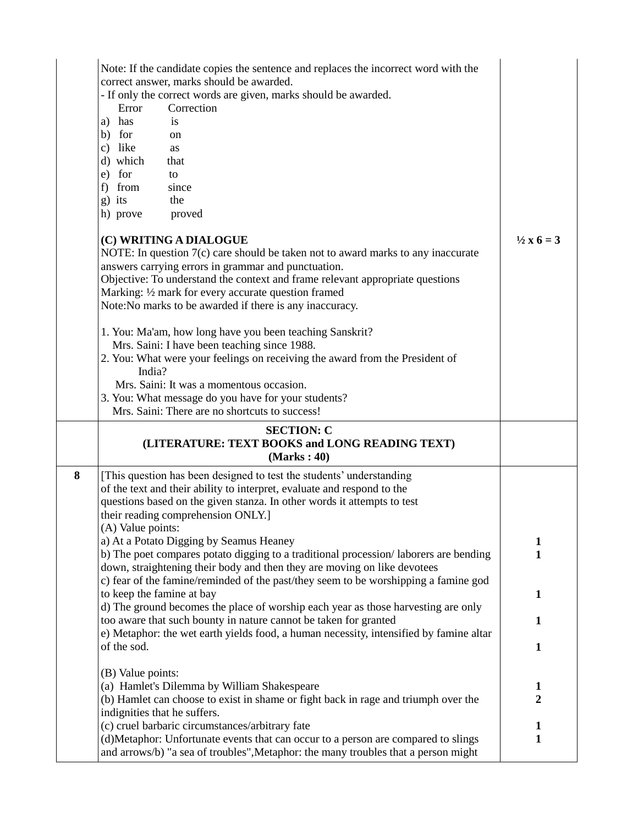|   | Note: If the candidate copies the sentence and replaces the incorrect word with the<br>correct answer, marks should be awarded.<br>- If only the correct words are given, marks should be awarded.<br>Error<br>Correction<br>a) has<br>is<br>b) for<br>on<br>c) like<br>as<br>d) which<br>that<br>e) for<br>to<br>f) from<br>since<br>g) its<br>the<br>h) prove<br>proved<br>(C) WRITING A DIALOGUE<br>NOTE: In question $7(c)$ care should be taken not to award marks to any inaccurate<br>answers carrying errors in grammar and punctuation.<br>Objective: To understand the context and frame relevant appropriate questions<br>Marking: 1/2 mark for every accurate question framed<br>Note: No marks to be awarded if there is any inaccuracy.<br>1. You: Ma'am, how long have you been teaching Sanskrit?<br>Mrs. Saini: I have been teaching since 1988.<br>2. You: What were your feelings on receiving the award from the President of<br>India?<br>Mrs. Saini: It was a momentous occasion.<br>3. You: What message do you have for your students?<br>Mrs. Saini: There are no shortcuts to success! | $\frac{1}{2}x 6 = 3$ |
|---|------------------------------------------------------------------------------------------------------------------------------------------------------------------------------------------------------------------------------------------------------------------------------------------------------------------------------------------------------------------------------------------------------------------------------------------------------------------------------------------------------------------------------------------------------------------------------------------------------------------------------------------------------------------------------------------------------------------------------------------------------------------------------------------------------------------------------------------------------------------------------------------------------------------------------------------------------------------------------------------------------------------------------------------------------------------------------------------------------------------|----------------------|
| 8 | <b>SECTION: C</b><br>(LITERATURE: TEXT BOOKS and LONG READING TEXT)<br>(Marks: 40)<br>[This question has been designed to test the students' understanding                                                                                                                                                                                                                                                                                                                                                                                                                                                                                                                                                                                                                                                                                                                                                                                                                                                                                                                                                       |                      |
|   | of the text and their ability to interpret, evaluate and respond to the<br>questions based on the given stanza. In other words it attempts to test<br>their reading comprehension ONLY.]                                                                                                                                                                                                                                                                                                                                                                                                                                                                                                                                                                                                                                                                                                                                                                                                                                                                                                                         |                      |
|   | (A) Value points:                                                                                                                                                                                                                                                                                                                                                                                                                                                                                                                                                                                                                                                                                                                                                                                                                                                                                                                                                                                                                                                                                                |                      |
|   | a) At a Potato Digging by Seamus Heaney<br>b) The poet compares potato digging to a traditional procession/laborers are bending<br>down, straightening their body and then they are moving on like devotees                                                                                                                                                                                                                                                                                                                                                                                                                                                                                                                                                                                                                                                                                                                                                                                                                                                                                                      | 1<br>1               |
|   | c) fear of the famine/reminded of the past/they seem to be worshipping a famine god<br>to keep the famine at bay                                                                                                                                                                                                                                                                                                                                                                                                                                                                                                                                                                                                                                                                                                                                                                                                                                                                                                                                                                                                 | 1                    |
|   | d) The ground becomes the place of worship each year as those harvesting are only                                                                                                                                                                                                                                                                                                                                                                                                                                                                                                                                                                                                                                                                                                                                                                                                                                                                                                                                                                                                                                |                      |
|   | too aware that such bounty in nature cannot be taken for granted<br>e) Metaphor: the wet earth yields food, a human necessity, intensified by famine altar                                                                                                                                                                                                                                                                                                                                                                                                                                                                                                                                                                                                                                                                                                                                                                                                                                                                                                                                                       | 1                    |
|   | of the sod.                                                                                                                                                                                                                                                                                                                                                                                                                                                                                                                                                                                                                                                                                                                                                                                                                                                                                                                                                                                                                                                                                                      | 1                    |
|   | (B) Value points:                                                                                                                                                                                                                                                                                                                                                                                                                                                                                                                                                                                                                                                                                                                                                                                                                                                                                                                                                                                                                                                                                                |                      |
|   | (a) Hamlet's Dilemma by William Shakespeare                                                                                                                                                                                                                                                                                                                                                                                                                                                                                                                                                                                                                                                                                                                                                                                                                                                                                                                                                                                                                                                                      | 1                    |
|   | (b) Hamlet can choose to exist in shame or fight back in rage and triumph over the<br>indignities that he suffers.                                                                                                                                                                                                                                                                                                                                                                                                                                                                                                                                                                                                                                                                                                                                                                                                                                                                                                                                                                                               | $\overline{2}$       |
|   | (c) cruel barbaric circumstances/arbitrary fate                                                                                                                                                                                                                                                                                                                                                                                                                                                                                                                                                                                                                                                                                                                                                                                                                                                                                                                                                                                                                                                                  | 1                    |
|   | (d)Metaphor: Unfortunate events that can occur to a person are compared to slings<br>and arrows/b) "a sea of troubles", Metaphor: the many troubles that a person might                                                                                                                                                                                                                                                                                                                                                                                                                                                                                                                                                                                                                                                                                                                                                                                                                                                                                                                                          | 1                    |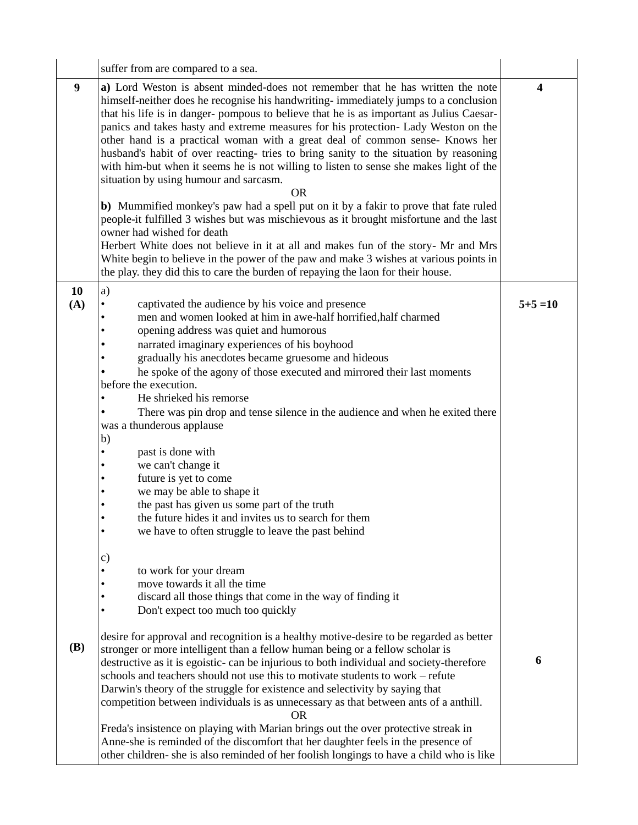|            | suffer from are compared to a sea.                                                                                                                                                                                                                                                                                                                                                                                                                                                                                                                                                                                                                                                                                                                                                                                                                                                                                                                                                                                                                                                                                                                          |                  |
|------------|-------------------------------------------------------------------------------------------------------------------------------------------------------------------------------------------------------------------------------------------------------------------------------------------------------------------------------------------------------------------------------------------------------------------------------------------------------------------------------------------------------------------------------------------------------------------------------------------------------------------------------------------------------------------------------------------------------------------------------------------------------------------------------------------------------------------------------------------------------------------------------------------------------------------------------------------------------------------------------------------------------------------------------------------------------------------------------------------------------------------------------------------------------------|------------------|
| 9          | a) Lord Weston is absent minded-does not remember that he has written the note<br>himself-neither does he recognise his handwriting-immediately jumps to a conclusion<br>that his life is in danger-pompous to believe that he is as important as Julius Caesar-<br>panics and takes hasty and extreme measures for his protection- Lady Weston on the<br>other hand is a practical woman with a great deal of common sense- Knows her<br>husband's habit of over reacting- tries to bring sanity to the situation by reasoning<br>with him-but when it seems he is not willing to listen to sense she makes light of the<br>situation by using humour and sarcasm.<br>0R<br>b) Mummified monkey's paw had a spell put on it by a fakir to prove that fate ruled<br>people-it fulfilled 3 wishes but was mischievous as it brought misfortune and the last<br>owner had wished for death<br>Herbert White does not believe in it at all and makes fun of the story- Mr and Mrs<br>White begin to believe in the power of the paw and make 3 wishes at various points in<br>the play, they did this to care the burden of repaying the laon for their house. | $\boldsymbol{4}$ |
| 10<br>(A)  | a)<br>captivated the audience by his voice and presence<br>men and women looked at him in awe-half horrified, half charmed<br>opening address was quiet and humorous<br>narrated imaginary experiences of his boyhood<br>gradually his anecdotes became gruesome and hideous<br>he spoke of the agony of those executed and mirrored their last moments<br>before the execution.<br>He shrieked his remorse<br>There was pin drop and tense silence in the audience and when he exited there<br>was a thunderous applause<br>b)<br>past is done with<br>we can't change it<br>future is yet to come<br>we may be able to shape it<br>the past has given us some part of the truth<br>the future hides it and invites us to search for them<br>we have to often struggle to leave the past behind                                                                                                                                                                                                                                                                                                                                                            | $5+5=10$         |
| <b>(B)</b> | $\mathbf{c})$<br>to work for your dream<br>move towards it all the time<br>discard all those things that come in the way of finding it<br>Don't expect too much too quickly<br>desire for approval and recognition is a healthy motive-desire to be regarded as better<br>stronger or more intelligent than a fellow human being or a fellow scholar is<br>destructive as it is egoistic- can be injurious to both individual and society-therefore<br>schools and teachers should not use this to motivate students to work – refute<br>Darwin's theory of the struggle for existence and selectivity by saying that<br>competition between individuals is as unnecessary as that between ants of a anthill.<br>OR.<br>Freda's insistence on playing with Marian brings out the over protective streak in<br>Anne-she is reminded of the discomfort that her daughter feels in the presence of<br>other children- she is also reminded of her foolish longings to have a child who is like                                                                                                                                                                 | 6                |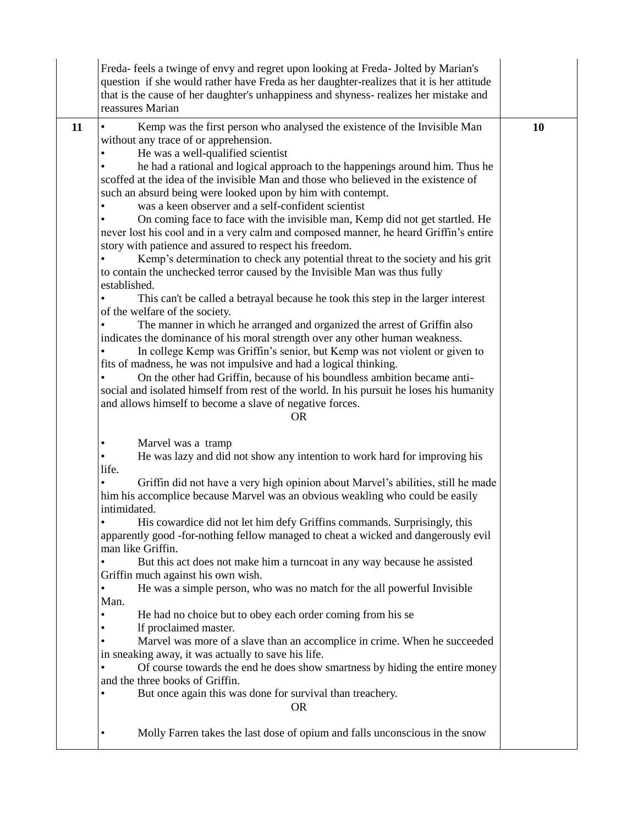|    | Freda-feels a twinge of envy and regret upon looking at Freda-Jolted by Marian's<br>question if she would rather have Freda as her daughter-realizes that it is her attitude<br>that is the cause of her daughter's unhappiness and shyness-realizes her mistake and<br>reassures Marian                                                                                                                                                                                                                                                                                                                                                                                                                                                                                                                                                                                                                                                                                                                                                                                                                                                                                                                                                                                                                                                                                                                                                                                                                                                                      |    |
|----|---------------------------------------------------------------------------------------------------------------------------------------------------------------------------------------------------------------------------------------------------------------------------------------------------------------------------------------------------------------------------------------------------------------------------------------------------------------------------------------------------------------------------------------------------------------------------------------------------------------------------------------------------------------------------------------------------------------------------------------------------------------------------------------------------------------------------------------------------------------------------------------------------------------------------------------------------------------------------------------------------------------------------------------------------------------------------------------------------------------------------------------------------------------------------------------------------------------------------------------------------------------------------------------------------------------------------------------------------------------------------------------------------------------------------------------------------------------------------------------------------------------------------------------------------------------|----|
| 11 | Kemp was the first person who analysed the existence of the Invisible Man<br>without any trace of or apprehension.<br>He was a well-qualified scientist<br>he had a rational and logical approach to the happenings around him. Thus he<br>scoffed at the idea of the invisible Man and those who believed in the existence of<br>such an absurd being were looked upon by him with contempt.<br>was a keen observer and a self-confident scientist<br>On coming face to face with the invisible man, Kemp did not get startled. He<br>never lost his cool and in a very calm and composed manner, he heard Griffin's entire<br>story with patience and assured to respect his freedom.<br>Kemp's determination to check any potential threat to the society and his grit<br>to contain the unchecked terror caused by the Invisible Man was thus fully<br>established.<br>This can't be called a betrayal because he took this step in the larger interest<br>of the welfare of the society.<br>The manner in which he arranged and organized the arrest of Griffin also<br>indicates the dominance of his moral strength over any other human weakness.<br>In college Kemp was Griffin's senior, but Kemp was not violent or given to<br>fits of madness, he was not impulsive and had a logical thinking.<br>On the other had Griffin, because of his boundless ambition became anti-<br>social and isolated himself from rest of the world. In his pursuit he loses his humanity<br>and allows himself to become a slave of negative forces.<br><b>OR</b> | 10 |
|    | Marvel was a tramp<br>He was lazy and did not show any intention to work hard for improving his<br>life.<br>Griffin did not have a very high opinion about Marvel's abilities, still he made<br>him his accomplice because Marvel was an obvious weakling who could be easily<br>intimidated.<br>His cowardice did not let him defy Griffins commands. Surprisingly, this<br>apparently good -for-nothing fellow managed to cheat a wicked and dangerously evil<br>man like Griffin.<br>But this act does not make him a turncoat in any way because he assisted<br>Griffin much against his own wish.<br>He was a simple person, who was no match for the all powerful Invisible<br>Man.<br>He had no choice but to obey each order coming from his se<br>If proclaimed master.<br>Marvel was more of a slave than an accomplice in crime. When he succeeded<br>in sneaking away, it was actually to save his life.<br>Of course towards the end he does show smartness by hiding the entire money<br>and the three books of Griffin.<br>But once again this was done for survival than treachery.<br><b>OR</b><br>Molly Farren takes the last dose of opium and falls unconscious in the snow                                                                                                                                                                                                                                                                                                                                                               |    |
|    |                                                                                                                                                                                                                                                                                                                                                                                                                                                                                                                                                                                                                                                                                                                                                                                                                                                                                                                                                                                                                                                                                                                                                                                                                                                                                                                                                                                                                                                                                                                                                               |    |